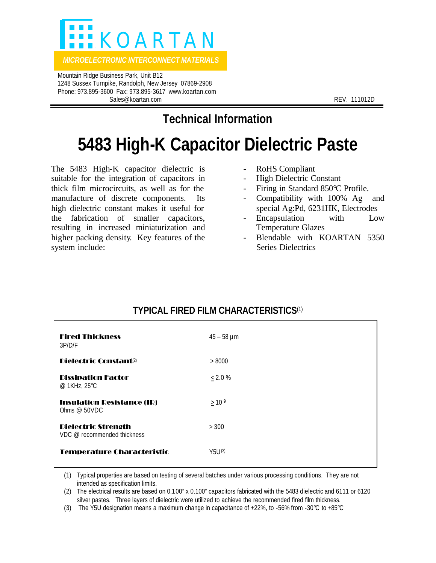

*MICROELECTRONIC INTERCONNECT MATERIALS* 

 Mountain Ridge Business Park, Unit B12 1248 Sussex Turnpike, Randolph, New Jersey 07869-2908 Phone: 973.895-3600 Fax: 973.895-3617 www.koartan.com Sales@koartan.com **REV. 111012D** 

**Technical Information**

## **5483 High-K Capacitor Dielectric Paste**

The 5483 High-K capacitor dielectric is suitable for the integration of capacitors in thick film microcircuits, as well as for the manufacture of discrete components. Its high dielectric constant makes it useful for the fabrication of smaller capacitors, resulting in increased miniaturization and higher packing density. Key features of the system include:

- RoHS Compliant
- High Dielectric Constant
- Firing in Standard 850°C Profile.
- Compatibility with 100% Ag and special Ag:Pd, 6231HK, Electrodes
- Encapsulation with Low Temperature Glazes
- Blendable with KOARTAN 5350 Series Dielectrics

| <b>Fired Thickness</b><br>3P/D/F                          | $45 - 58 \mu m$  |
|-----------------------------------------------------------|------------------|
| Dielectric Constant <sup>(2)</sup>                        | > 8000           |
| <b>Dissipation Factor</b><br>@ 1KHz, 25°C                 | $\leq 2.0 \%$    |
| <b>Insulation Resistance (IR)</b><br>Ohms $@$ 50VDC       | >10 <sup>9</sup> |
| <b>Dielectric Strength</b><br>VDC @ recommended thickness | > 300            |
| <b>Temperature Characteristic</b>                         | Y5U(3)           |

## **TYPICAL FIRED FILM CHARACTERISTICS**(1)

(1) Typical properties are based on testing of several batches under various processing conditions. They are not intended as specification limits.

(2) The electrical results are based on 0.100" x 0.100" capacitors fabricated with the 5483 dielectric and 6111 or 6120 silver pastes. Three layers of dielectric were utilized to achieve the recommended fired film thickness.

(3) The Y5U designation means a maximum change in capacitance of +22%, to -56% from -30°C to +85°C